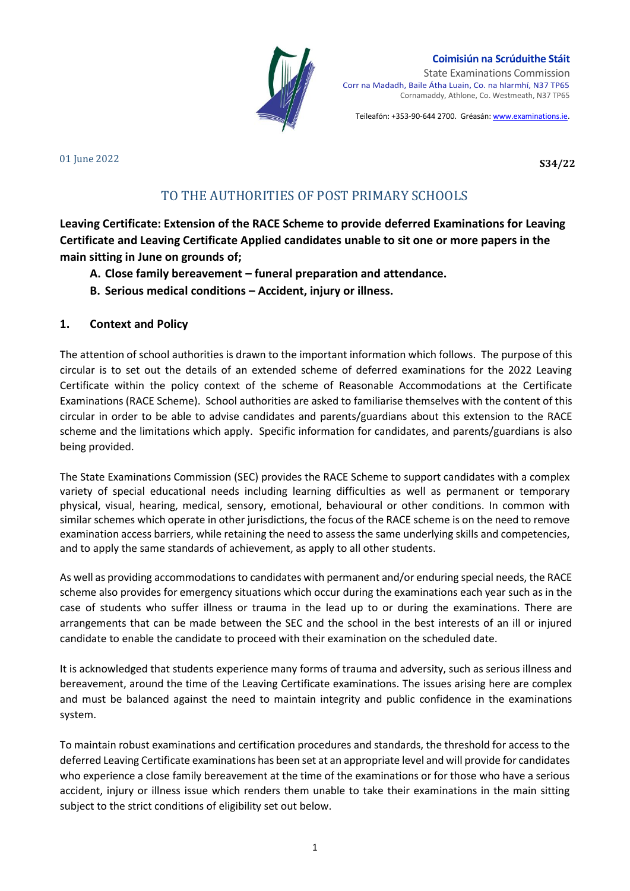

#### **Coimisiún na Scrúduithe Stáit**

State Examinations Commission Corr na Madadh, Baile Átha Luain, Co. na hIarmhí, N37 TP65 Cornamaddy, Athlone, Co. Westmeath, N37 TP65

Teileafón: +353-90-644 2700. Gréasán[: www.examinations.ie.](http://www.examinations.ie/) 

#### 01 June 2022

**S34/22**

# TO THE AUTHORITIES OF POST PRIMARY SCHOOLS

**Leaving Certificate: Extension of the RACE Scheme to provide deferred Examinations for Leaving Certificate and Leaving Certificate Applied candidates unable to sit one or more papers in the main sitting in June on grounds of;** 

- **A. Close family bereavement – funeral preparation and attendance.**
- **B. Serious medical conditions – Accident, injury or illness.**

#### **1. Context and Policy**

The attention of school authorities is drawn to the important information which follows. The purpose of this circular is to set out the details of an extended scheme of deferred examinations for the 2022 Leaving Certificate within the policy context of the scheme of Reasonable Accommodations at the Certificate Examinations (RACE Scheme). School authorities are asked to familiarise themselves with the content of this circular in order to be able to advise candidates and parents/guardians about this extension to the RACE scheme and the limitations which apply. Specific information for candidates, and parents/guardians is also being provided.

The State Examinations Commission (SEC) provides the RACE Scheme to support candidates with a complex variety of special educational needs including learning difficulties as well as permanent or temporary physical, visual, hearing, medical, sensory, emotional, behavioural or other conditions. In common with similar schemes which operate in other jurisdictions, the focus of the RACE scheme is on the need to remove examination access barriers, while retaining the need to assess the same underlying skills and competencies, and to apply the same standards of achievement, as apply to all other students.

As well as providing accommodations to candidates with permanent and/or enduring special needs, the RACE scheme also provides for emergency situations which occur during the examinations each year such as in the case of students who suffer illness or trauma in the lead up to or during the examinations. There are arrangements that can be made between the SEC and the school in the best interests of an ill or injured candidate to enable the candidate to proceed with their examination on the scheduled date.

It is acknowledged that students experience many forms of trauma and adversity, such as serious illness and bereavement, around the time of the Leaving Certificate examinations. The issues arising here are complex and must be balanced against the need to maintain integrity and public confidence in the examinations system.

To maintain robust examinations and certification procedures and standards, the threshold for access to the deferred Leaving Certificate examinations has been set at an appropriate level and will provide for candidates who experience a close family bereavement at the time of the examinations or for those who have a serious accident, injury or illness issue which renders them unable to take their examinations in the main sitting subject to the strict conditions of eligibility set out below.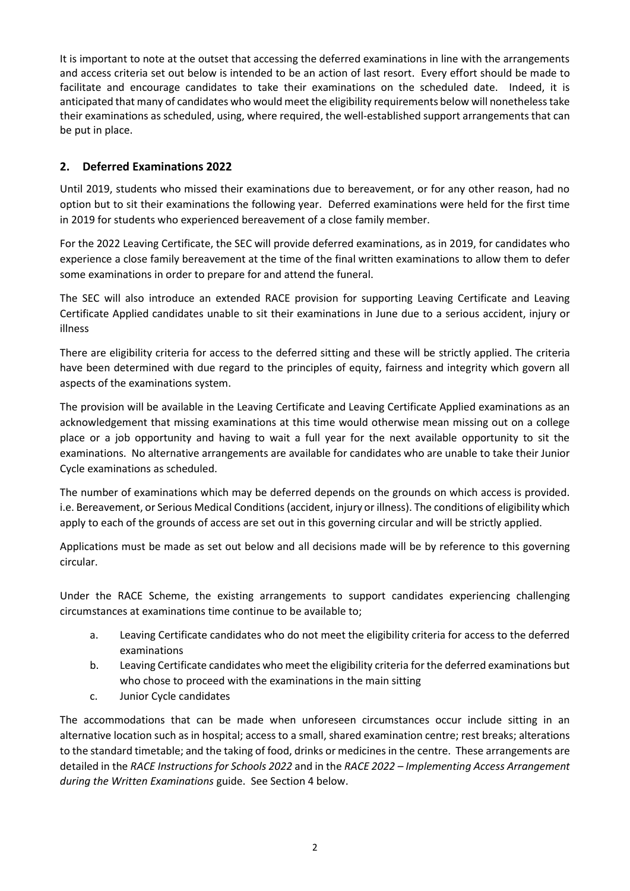It is important to note at the outset that accessing the deferred examinations in line with the arrangements and access criteria set out below is intended to be an action of last resort. Every effort should be made to facilitate and encourage candidates to take their examinations on the scheduled date. Indeed, it is anticipated that many of candidates who would meet the eligibility requirements below will nonetheless take their examinations as scheduled, using, where required, the well-established support arrangements that can be put in place.

## **2. Deferred Examinations 2022**

Until 2019, students who missed their examinations due to bereavement, or for any other reason, had no option but to sit their examinations the following year. Deferred examinations were held for the first time in 2019 for students who experienced bereavement of a close family member.

For the 2022 Leaving Certificate, the SEC will provide deferred examinations, as in 2019, for candidates who experience a close family bereavement at the time of the final written examinations to allow them to defer some examinations in order to prepare for and attend the funeral.

The SEC will also introduce an extended RACE provision for supporting Leaving Certificate and Leaving Certificate Applied candidates unable to sit their examinations in June due to a serious accident, injury or illness

There are eligibility criteria for access to the deferred sitting and these will be strictly applied. The criteria have been determined with due regard to the principles of equity, fairness and integrity which govern all aspects of the examinations system.

The provision will be available in the Leaving Certificate and Leaving Certificate Applied examinations as an acknowledgement that missing examinations at this time would otherwise mean missing out on a college place or a job opportunity and having to wait a full year for the next available opportunity to sit the examinations. No alternative arrangements are available for candidates who are unable to take their Junior Cycle examinations as scheduled.

The number of examinations which may be deferred depends on the grounds on which access is provided. i.e. Bereavement, or Serious Medical Conditions(accident, injury or illness). The conditions of eligibility which apply to each of the grounds of access are set out in this governing circular and will be strictly applied.

Applications must be made as set out below and all decisions made will be by reference to this governing circular.

Under the RACE Scheme, the existing arrangements to support candidates experiencing challenging circumstances at examinations time continue to be available to;

- a. Leaving Certificate candidates who do not meet the eligibility criteria for access to the deferred examinations
- b. Leaving Certificate candidates who meet the eligibility criteria for the deferred examinations but who chose to proceed with the examinations in the main sitting
- c. Junior Cycle candidates

The accommodations that can be made when unforeseen circumstances occur include sitting in an alternative location such as in hospital; access to a small, shared examination centre; rest breaks; alterations to the standard timetable; and the taking of food, drinks or medicines in the centre. These arrangements are detailed in the *RACE Instructions for Schools 2022* and in the *RACE 2022 – Implementing Access Arrangement during the Written Examinations* guide. See Section 4 below.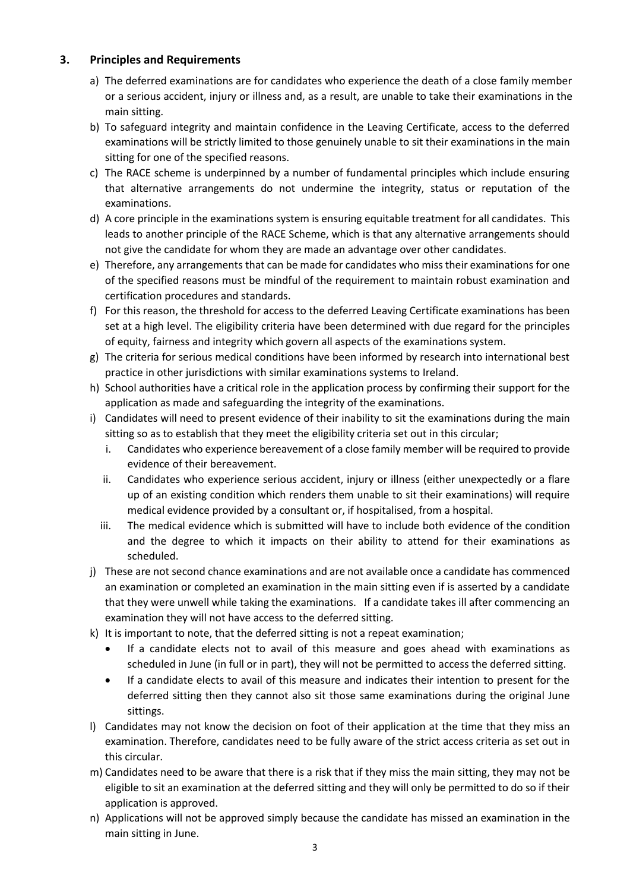### **3. Principles and Requirements**

- a) The deferred examinations are for candidates who experience the death of a close family member or a serious accident, injury or illness and, as a result, are unable to take their examinations in the main sitting.
- b) To safeguard integrity and maintain confidence in the Leaving Certificate, access to the deferred examinations will be strictly limited to those genuinely unable to sit their examinations in the main sitting for one of the specified reasons.
- c) The RACE scheme is underpinned by a number of fundamental principles which include ensuring that alternative arrangements do not undermine the integrity, status or reputation of the examinations.
- d) A core principle in the examinations system is ensuring equitable treatment for all candidates. This leads to another principle of the RACE Scheme, which is that any alternative arrangements should not give the candidate for whom they are made an advantage over other candidates.
- e) Therefore, any arrangements that can be made for candidates who miss their examinations for one of the specified reasons must be mindful of the requirement to maintain robust examination and certification procedures and standards.
- f) For this reason, the threshold for access to the deferred Leaving Certificate examinations has been set at a high level. The eligibility criteria have been determined with due regard for the principles of equity, fairness and integrity which govern all aspects of the examinations system.
- g) The criteria for serious medical conditions have been informed by research into international best practice in other jurisdictions with similar examinations systems to Ireland.
- h) School authorities have a critical role in the application process by confirming their support for the application as made and safeguarding the integrity of the examinations.
- i) Candidates will need to present evidence of their inability to sit the examinations during the main sitting so as to establish that they meet the eligibility criteria set out in this circular;
	- i. Candidates who experience bereavement of a close family member will be required to provide evidence of their bereavement.
	- ii. Candidates who experience serious accident, injury or illness (either unexpectedly or a flare up of an existing condition which renders them unable to sit their examinations) will require medical evidence provided by a consultant or, if hospitalised, from a hospital.
	- iii. The medical evidence which is submitted will have to include both evidence of the condition and the degree to which it impacts on their ability to attend for their examinations as scheduled.
- j) These are not second chance examinations and are not available once a candidate has commenced an examination or completed an examination in the main sitting even if is asserted by a candidate that they were unwell while taking the examinations. If a candidate takes ill after commencing an examination they will not have access to the deferred sitting.
- k) It is important to note, that the deferred sitting is not a repeat examination;
	- If a candidate elects not to avail of this measure and goes ahead with examinations as scheduled in June (in full or in part), they will not be permitted to access the deferred sitting.
	- If a candidate elects to avail of this measure and indicates their intention to present for the deferred sitting then they cannot also sit those same examinations during the original June sittings.
- l) Candidates may not know the decision on foot of their application at the time that they miss an examination. Therefore, candidates need to be fully aware of the strict access criteria as set out in this circular.
- m) Candidates need to be aware that there is a risk that if they miss the main sitting, they may not be eligible to sit an examination at the deferred sitting and they will only be permitted to do so if their application is approved.
- n) Applications will not be approved simply because the candidate has missed an examination in the main sitting in June.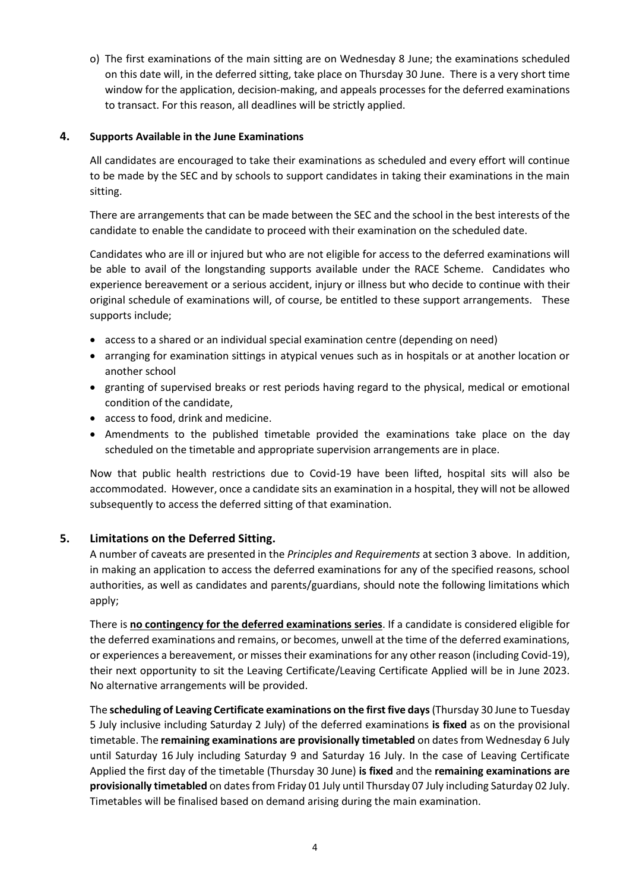o) The first examinations of the main sitting are on Wednesday 8 June; the examinations scheduled on this date will, in the deferred sitting, take place on Thursday 30 June. There is a very short time window for the application, decision-making, and appeals processes for the deferred examinations to transact. For this reason, all deadlines will be strictly applied.

#### **4. Supports Available in the June Examinations**

All candidates are encouraged to take their examinations as scheduled and every effort will continue to be made by the SEC and by schools to support candidates in taking their examinations in the main sitting.

There are arrangements that can be made between the SEC and the school in the best interests of the candidate to enable the candidate to proceed with their examination on the scheduled date.

Candidates who are ill or injured but who are not eligible for access to the deferred examinations will be able to avail of the longstanding supports available under the RACE Scheme. Candidates who experience bereavement or a serious accident, injury or illness but who decide to continue with their original schedule of examinations will, of course, be entitled to these support arrangements. These supports include;

- access to a shared or an individual special examination centre (depending on need)
- arranging for examination sittings in atypical venues such as in hospitals or at another location or another school
- granting of supervised breaks or rest periods having regard to the physical, medical or emotional condition of the candidate,
- access to food, drink and medicine.
- Amendments to the published timetable provided the examinations take place on the day scheduled on the timetable and appropriate supervision arrangements are in place.

Now that public health restrictions due to Covid-19 have been lifted, hospital sits will also be accommodated. However, once a candidate sits an examination in a hospital, they will not be allowed subsequently to access the deferred sitting of that examination.

#### **5. Limitations on the Deferred Sitting.**

A number of caveats are presented in the *Principles and Requirements* at section 3 above. In addition, in making an application to access the deferred examinations for any of the specified reasons, school authorities, as well as candidates and parents/guardians, should note the following limitations which apply;

There is **no contingency for the deferred examinations series**. If a candidate is considered eligible for the deferred examinations and remains, or becomes, unwell at the time of the deferred examinations, or experiences a bereavement, or misses their examinations for any other reason (including Covid-19), their next opportunity to sit the Leaving Certificate/Leaving Certificate Applied will be in June 2023. No alternative arrangements will be provided.

The **scheduling of Leaving Certificate examinations on the first five days**(Thursday 30 June to Tuesday 5 July inclusive including Saturday 2 July) of the deferred examinations **is fixed** as on the provisional timetable. The **remaining examinations are provisionally timetabled** on dates from Wednesday 6 July until Saturday 16 July including Saturday 9 and Saturday 16 July. In the case of Leaving Certificate Applied the first day of the timetable (Thursday 30 June) **is fixed** and the **remaining examinations are provisionally timetabled** on dates from Friday 01 July until Thursday 07 July including Saturday 02 July. Timetables will be finalised based on demand arising during the main examination.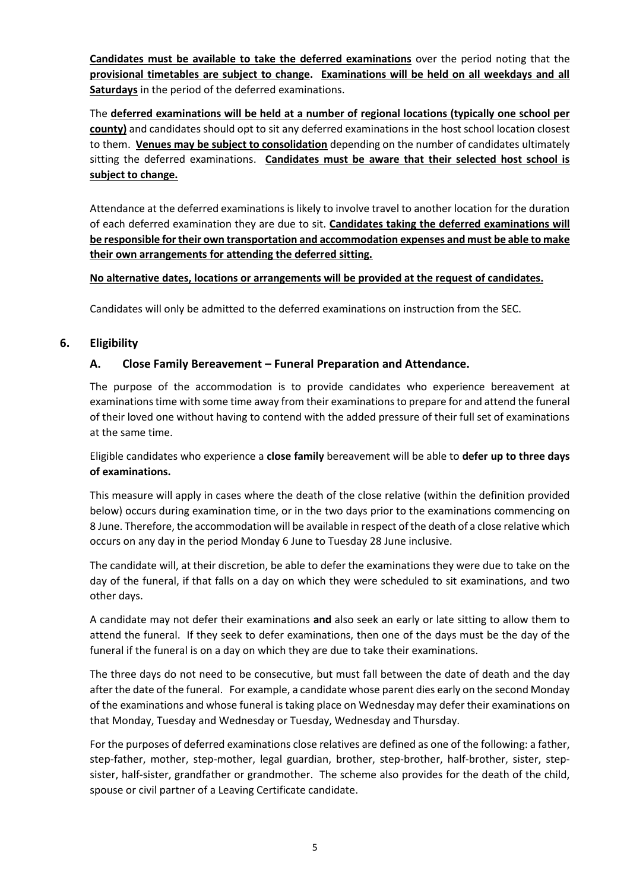**Candidates must be available to take the deferred examinations** over the period noting that the **provisional timetables are subject to change. Examinations will be held on all weekdays and all Saturdays** in the period of the deferred examinations.

The **deferred examinations will be held at a number of regional locations (typically one school per county)** and candidates should opt to sit any deferred examinations in the host school location closest to them. **Venues may be subject to consolidation** depending on the number of candidates ultimately sitting the deferred examinations. **Candidates must be aware that their selected host school is subject to change.** 

Attendance at the deferred examinations is likely to involve travel to another location for the duration of each deferred examination they are due to sit. **Candidates taking the deferred examinations will be responsible for their own transportation and accommodation expenses and must be able to make their own arrangements for attending the deferred sitting.** 

#### **No alternative dates, locations or arrangements will be provided at the request of candidates.**

Candidates will only be admitted to the deferred examinations on instruction from the SEC.

#### **6. Eligibility**

#### **A. Close Family Bereavement – Funeral Preparation and Attendance.**

The purpose of the accommodation is to provide candidates who experience bereavement at examinations time with some time away from their examinations to prepare for and attend the funeral of their loved one without having to contend with the added pressure of their full set of examinations at the same time.

Eligible candidates who experience a **close family** bereavement will be able to **defer up to three days of examinations.** 

This measure will apply in cases where the death of the close relative (within the definition provided below) occurs during examination time, or in the two days prior to the examinations commencing on 8 June. Therefore, the accommodation will be available in respect of the death of a close relative which occurs on any day in the period Monday 6 June to Tuesday 28 June inclusive.

The candidate will, at their discretion, be able to defer the examinations they were due to take on the day of the funeral, if that falls on a day on which they were scheduled to sit examinations, and two other days.

A candidate may not defer their examinations **and** also seek an early or late sitting to allow them to attend the funeral. If they seek to defer examinations, then one of the days must be the day of the funeral if the funeral is on a day on which they are due to take their examinations.

The three days do not need to be consecutive, but must fall between the date of death and the day after the date of the funeral. For example, a candidate whose parent dies early on the second Monday of the examinations and whose funeral is taking place on Wednesday may defer their examinations on that Monday, Tuesday and Wednesday or Tuesday, Wednesday and Thursday.

For the purposes of deferred examinations close relatives are defined as one of the following: a father, step-father, mother, step-mother, legal guardian, brother, step-brother, half-brother, sister, stepsister, half-sister, grandfather or grandmother. The scheme also provides for the death of the child, spouse or civil partner of a Leaving Certificate candidate.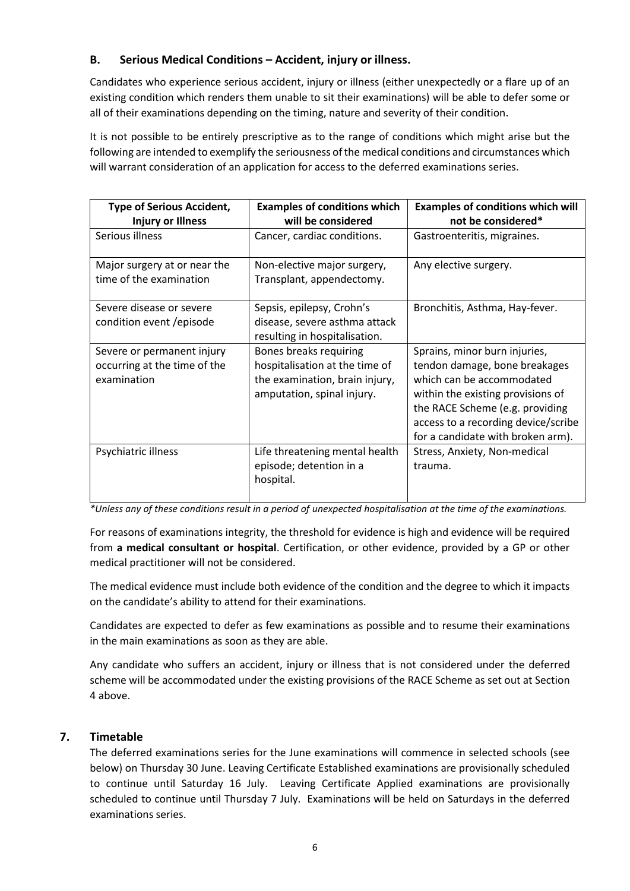### **B. Serious Medical Conditions – Accident, injury or illness.**

Candidates who experience serious accident, injury or illness (either unexpectedly or a flare up of an existing condition which renders them unable to sit their examinations) will be able to defer some or all of their examinations depending on the timing, nature and severity of their condition.

It is not possible to be entirely prescriptive as to the range of conditions which might arise but the following are intended to exemplify the seriousness of the medical conditions and circumstances which will warrant consideration of an application for access to the deferred examinations series.

| <b>Type of Serious Accident,</b><br><b>Injury or Illness</b>              | <b>Examples of conditions which</b><br>will be considered                                                                | <b>Examples of conditions which will</b><br>not be considered*                                                                                                                                                                                  |
|---------------------------------------------------------------------------|--------------------------------------------------------------------------------------------------------------------------|-------------------------------------------------------------------------------------------------------------------------------------------------------------------------------------------------------------------------------------------------|
| Serious illness                                                           | Cancer, cardiac conditions.                                                                                              | Gastroenteritis, migraines.                                                                                                                                                                                                                     |
| Major surgery at or near the<br>time of the examination                   | Non-elective major surgery,<br>Transplant, appendectomy.                                                                 | Any elective surgery.                                                                                                                                                                                                                           |
| Severe disease or severe<br>condition event / episode                     | Sepsis, epilepsy, Crohn's<br>disease, severe asthma attack<br>resulting in hospitalisation.                              | Bronchitis, Asthma, Hay-fever.                                                                                                                                                                                                                  |
| Severe or permanent injury<br>occurring at the time of the<br>examination | Bones breaks requiring<br>hospitalisation at the time of<br>the examination, brain injury,<br>amputation, spinal injury. | Sprains, minor burn injuries,<br>tendon damage, bone breakages<br>which can be accommodated<br>within the existing provisions of<br>the RACE Scheme (e.g. providing<br>access to a recording device/scribe<br>for a candidate with broken arm). |
| Psychiatric illness                                                       | Life threatening mental health<br>episode; detention in a<br>hospital.                                                   | Stress, Anxiety, Non-medical<br>trauma.                                                                                                                                                                                                         |

*\*Unless any of these conditions result in a period of unexpected hospitalisation at the time of the examinations.* 

For reasons of examinations integrity, the threshold for evidence is high and evidence will be required from **a medical consultant or hospital**. Certification, or other evidence, provided by a GP or other medical practitioner will not be considered.

The medical evidence must include both evidence of the condition and the degree to which it impacts on the candidate's ability to attend for their examinations.

Candidates are expected to defer as few examinations as possible and to resume their examinations in the main examinations as soon as they are able.

Any candidate who suffers an accident, injury or illness that is not considered under the deferred scheme will be accommodated under the existing provisions of the RACE Scheme as set out at Section 4 above.

### **7. Timetable**

The deferred examinations series for the June examinations will commence in selected schools (see below) on Thursday 30 June. Leaving Certificate Established examinations are provisionally scheduled to continue until Saturday 16 July. Leaving Certificate Applied examinations are provisionally scheduled to continue until Thursday 7 July. Examinations will be held on Saturdays in the deferred examinations series.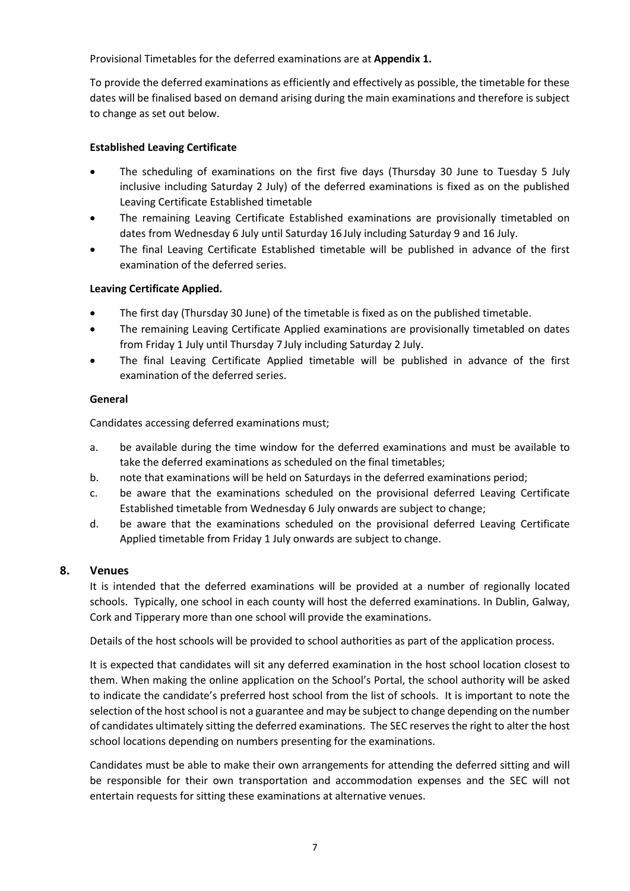Provisional Timetables for the deferred examinations are at **Appendix 1.**

To provide the deferred examinations as efficiently and effectively as possible, the timetable for these dates will be finalised based on demand arising during the main examinations and therefore is subject to change as set out below.

### **Established Leaving Certificate**

- The scheduling of examinations on the first five days (Thursday 30 June to Tuesday 5 July inclusive including Saturday 2 July) of the deferred examinations is fixed as on the published Leaving Certificate Established timetable
- The remaining Leaving Certificate Established examinations are provisionally timetabled on dates from Wednesday 6 July until Saturday 16 July including Saturday 9 and 16 July.
- The final Leaving Certificate Established timetable will be published in advance of the first examination of the deferred series.

### **Leaving Certificate Applied.**

- The first day (Thursday 30 June) of the timetable is fixed as on the published timetable.
- The remaining Leaving Certificate Applied examinations are provisionally timetabled on dates from Friday 1 July until Thursday 7 July including Saturday 2 July.
- The final Leaving Certificate Applied timetable will be published in advance of the first examination of the deferred series.

#### **General**

Candidates accessing deferred examinations must;

- a. be available during the time window for the deferred examinations and must be available to take the deferred examinations as scheduled on the final timetables;
- b. note that examinations will be held on Saturdays in the deferred examinations period;
- c. be aware that the examinations scheduled on the provisional deferred Leaving Certificate Established timetable from Wednesday 6 July onwards are subject to change;
- d. be aware that the examinations scheduled on the provisional deferred Leaving Certificate Applied timetable from Friday 1 July onwards are subject to change.

#### **8. Venues**

It is intended that the deferred examinations will be provided at a number of regionally located schools. Typically, one school in each county will host the deferred examinations. In Dublin, Galway, Cork and Tipperary more than one school will provide the examinations.

Details of the host schools will be provided to school authorities as part of the application process.

It is expected that candidates will sit any deferred examination in the host school location closest to them. When making the online application on the School's Portal, the school authority will be asked to indicate the candidate's preferred host school from the list of schools. It is important to note the selection of the host school is not a guarantee and may be subject to change depending on the number of candidates ultimately sitting the deferred examinations. The SEC reserves the right to alter the host school locations depending on numbers presenting for the examinations.

Candidates must be able to make their own arrangements for attending the deferred sitting and will be responsible for their own transportation and accommodation expenses and the SEC will not entertain requests for sitting these examinations at alternative venues.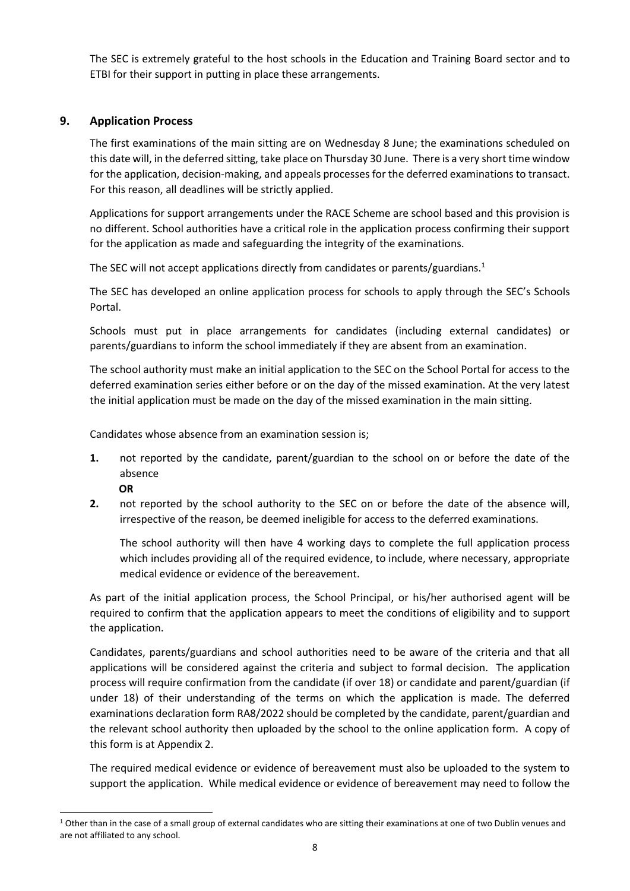The SEC is extremely grateful to the host schools in the Education and Training Board sector and to ETBI for their support in putting in place these arrangements.

### **9. Application Process**

The first examinations of the main sitting are on Wednesday 8 June; the examinations scheduled on this date will, in the deferred sitting, take place on Thursday 30 June. There is a very short time window for the application, decision-making, and appeals processes for the deferred examinations to transact. For this reason, all deadlines will be strictly applied.

Applications for support arrangements under the RACE Scheme are school based and this provision is no different. School authorities have a critical role in the application process confirming their support for the application as made and safeguarding the integrity of the examinations.

The SEC will not accept applications directly from candidates or parents/guardians.<sup>1</sup>

The SEC has developed an online application process for schools to apply through the SEC's Schools Portal.

Schools must put in place arrangements for candidates (including external candidates) or parents/guardians to inform the school immediately if they are absent from an examination.

The school authority must make an initial application to the SEC on the School Portal for access to the deferred examination series either before or on the day of the missed examination. At the very latest the initial application must be made on the day of the missed examination in the main sitting.

Candidates whose absence from an examination session is;

- **1.** not reported by the candidate, parent/guardian to the school on or before the date of the absence
	- **OR**

**.** 

**2.** not reported by the school authority to the SEC on or before the date of the absence will, irrespective of the reason, be deemed ineligible for access to the deferred examinations.

The school authority will then have 4 working days to complete the full application process which includes providing all of the required evidence, to include, where necessary, appropriate medical evidence or evidence of the bereavement.

As part of the initial application process, the School Principal, or his/her authorised agent will be required to confirm that the application appears to meet the conditions of eligibility and to support the application.

Candidates, parents/guardians and school authorities need to be aware of the criteria and that all applications will be considered against the criteria and subject to formal decision. The application process will require confirmation from the candidate (if over 18) or candidate and parent/guardian (if under 18) of their understanding of the terms on which the application is made. The deferred examinations declaration form RA8/2022 should be completed by the candidate, parent/guardian and the relevant school authority then uploaded by the school to the online application form. A copy of this form is at Appendix 2.

The required medical evidence or evidence of bereavement must also be uploaded to the system to support the application. While medical evidence or evidence of bereavement may need to follow the

<sup>&</sup>lt;sup>1</sup> Other than in the case of a small group of external candidates who are sitting their examinations at one of two Dublin venues and are not affiliated to any school.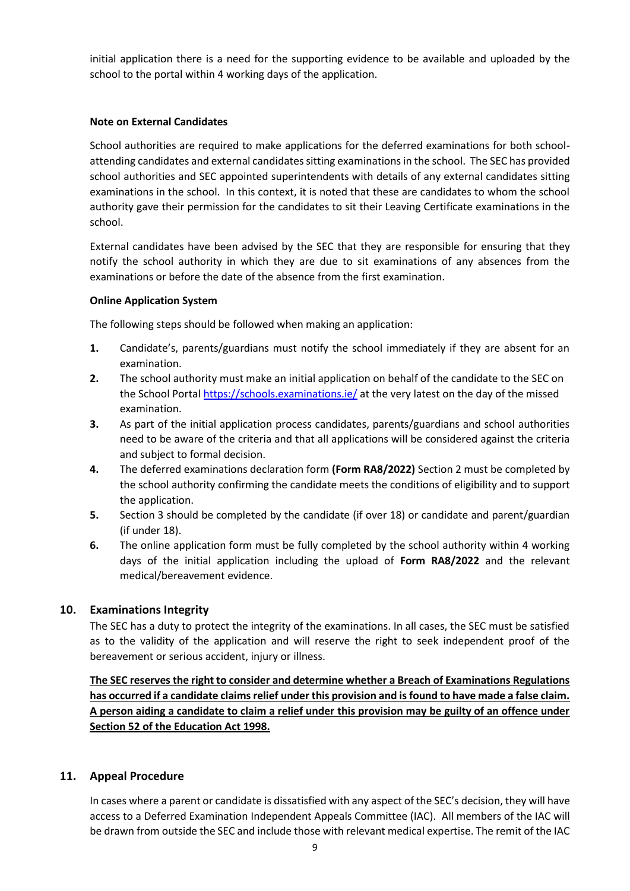initial application there is a need for the supporting evidence to be available and uploaded by the school to the portal within 4 working days of the application.

#### **Note on External Candidates**

School authorities are required to make applications for the deferred examinations for both schoolattending candidates and external candidates sitting examinations in the school. The SEC has provided school authorities and SEC appointed superintendents with details of any external candidates sitting examinations in the school. In this context, it is noted that these are candidates to whom the school authority gave their permission for the candidates to sit their Leaving Certificate examinations in the school.

External candidates have been advised by the SEC that they are responsible for ensuring that they notify the school authority in which they are due to sit examinations of any absences from the examinations or before the date of the absence from the first examination.

#### **Online Application System**

The following steps should be followed when making an application:

- **1.** Candidate's, parents/guardians must notify the school immediately if they are absent for an examination.
- **2.** The school authority must make an initial application on behalf of the candidate to the SEC on the School Portal<https://schools.examinations.ie/> at the very latest on the day of the missed examination.
- **3.** As part of the initial application process candidates, parents/guardians and school authorities need to be aware of the criteria and that all applications will be considered against the criteria and subject to formal decision.
- **4.** The deferred examinations declaration form **(Form RA8/2022)** Section 2 must be completed by the school authority confirming the candidate meets the conditions of eligibility and to support the application.
- **5.** Section 3 should be completed by the candidate (if over 18) or candidate and parent/guardian (if under 18).
- **6.** The online application form must be fully completed by the school authority within 4 working days of the initial application including the upload of **Form RA8/2022** and the relevant medical/bereavement evidence.

#### **10. Examinations Integrity**

The SEC has a duty to protect the integrity of the examinations. In all cases, the SEC must be satisfied as to the validity of the application and will reserve the right to seek independent proof of the bereavement or serious accident, injury or illness.

**The SEC reserves the right to consider and determine whether a Breach of Examinations Regulations has occurred if a candidate claims relief under this provision and is found to have made a false claim. A person aiding a candidate to claim a relief under this provision may be guilty of an offence under Section 52 of the Education Act 1998.** 

#### **11. Appeal Procedure**

In cases where a parent or candidate is dissatisfied with any aspect of the SEC's decision, they will have access to a Deferred Examination Independent Appeals Committee (IAC). All members of the IAC will be drawn from outside the SEC and include those with relevant medical expertise. The remit of the IAC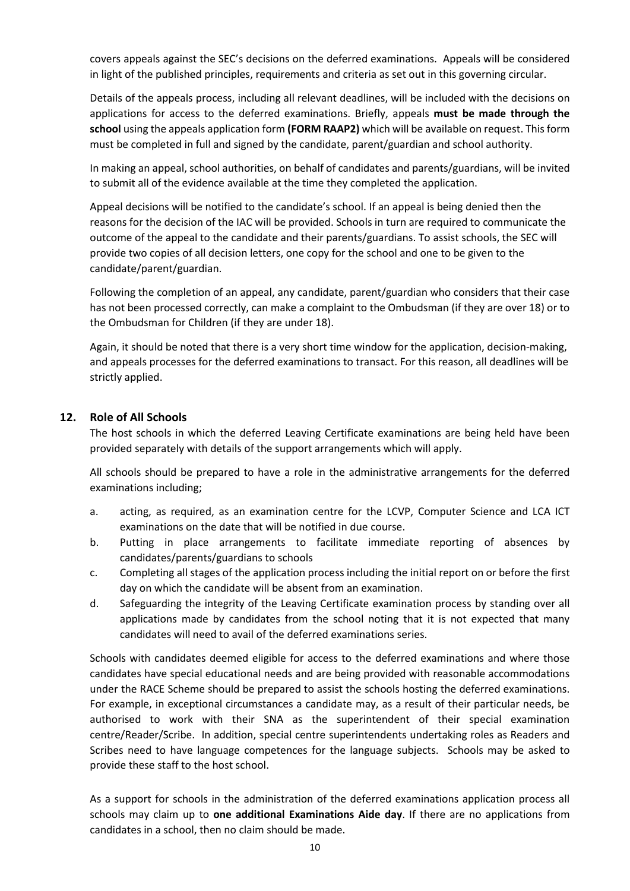covers appeals against the SEC's decisions on the deferred examinations. Appeals will be considered in light of the published principles, requirements and criteria as set out in this governing circular.

Details of the appeals process, including all relevant deadlines, will be included with the decisions on applications for access to the deferred examinations. Briefly, appeals **must be made through the school** using the appeals application form **(FORM RAAP2)** which will be available on request. This form must be completed in full and signed by the candidate, parent/guardian and school authority.

In making an appeal, school authorities, on behalf of candidates and parents/guardians, will be invited to submit all of the evidence available at the time they completed the application.

Appeal decisions will be notified to the candidate's school. If an appeal is being denied then the reasons for the decision of the IAC will be provided. Schools in turn are required to communicate the outcome of the appeal to the candidate and their parents/guardians. To assist schools, the SEC will provide two copies of all decision letters, one copy for the school and one to be given to the candidate/parent/guardian.

Following the completion of an appeal, any candidate, parent/guardian who considers that their case has not been processed correctly, can make a complaint to the Ombudsman (if they are over 18) or to the Ombudsman for Children (if they are under 18).

Again, it should be noted that there is a very short time window for the application, decision-making, and appeals processes for the deferred examinations to transact. For this reason, all deadlines will be strictly applied.

#### **12. Role of All Schools**

The host schools in which the deferred Leaving Certificate examinations are being held have been provided separately with details of the support arrangements which will apply.

All schools should be prepared to have a role in the administrative arrangements for the deferred examinations including;

- a. acting, as required, as an examination centre for the LCVP, Computer Science and LCA ICT examinations on the date that will be notified in due course.
- b. Putting in place arrangements to facilitate immediate reporting of absences by candidates/parents/guardians to schools
- c. Completing all stages of the application process including the initial report on or before the first day on which the candidate will be absent from an examination.
- d. Safeguarding the integrity of the Leaving Certificate examination process by standing over all applications made by candidates from the school noting that it is not expected that many candidates will need to avail of the deferred examinations series.

Schools with candidates deemed eligible for access to the deferred examinations and where those candidates have special educational needs and are being provided with reasonable accommodations under the RACE Scheme should be prepared to assist the schools hosting the deferred examinations. For example, in exceptional circumstances a candidate may, as a result of their particular needs, be authorised to work with their SNA as the superintendent of their special examination centre/Reader/Scribe. In addition, special centre superintendents undertaking roles as Readers and Scribes need to have language competences for the language subjects. Schools may be asked to provide these staff to the host school.

As a support for schools in the administration of the deferred examinations application process all schools may claim up to **one additional Examinations Aide day**. If there are no applications from candidates in a school, then no claim should be made.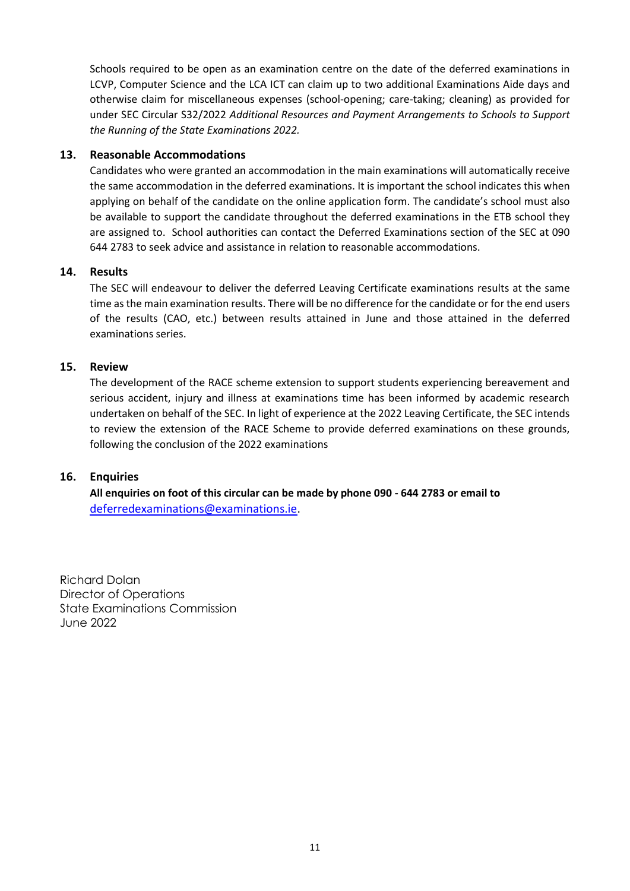Schools required to be open as an examination centre on the date of the deferred examinations in LCVP, Computer Science and the LCA ICT can claim up to two additional Examinations Aide days and otherwise claim for miscellaneous expenses (school-opening; care-taking; cleaning) as provided for under SEC Circular S32/2022 *Additional Resources and Payment Arrangements to Schools to Support the Running of the State Examinations 2022.*

#### **13. Reasonable Accommodations**

Candidates who were granted an accommodation in the main examinations will automatically receive the same accommodation in the deferred examinations. It is important the school indicates this when applying on behalf of the candidate on the online application form. The candidate's school must also be available to support the candidate throughout the deferred examinations in the ETB school they are assigned to. School authorities can contact the Deferred Examinations section of the SEC at 090 644 2783 to seek advice and assistance in relation to reasonable accommodations.

#### **14. Results**

The SEC will endeavour to deliver the deferred Leaving Certificate examinations results at the same time as the main examination results. There will be no difference for the candidate or for the end users of the results (CAO, etc.) between results attained in June and those attained in the deferred examinations series.

#### **15. Review**

The development of the RACE scheme extension to support students experiencing bereavement and serious accident, injury and illness at examinations time has been informed by academic research undertaken on behalf of the SEC. In light of experience at the 2022 Leaving Certificate, the SEC intends to review the extension of the RACE Scheme to provide deferred examinations on these grounds, following the conclusion of the 2022 examinations

#### **16. Enquiries**

**All enquiries on foot of this circular can be made by phone 090 - 644 2783 or email to** [deferredexaminations@examinations.ie.](mailto:deferredexaminations@examinations.ie)

Richard Dolan Director of Operations State Examinations Commission June 2022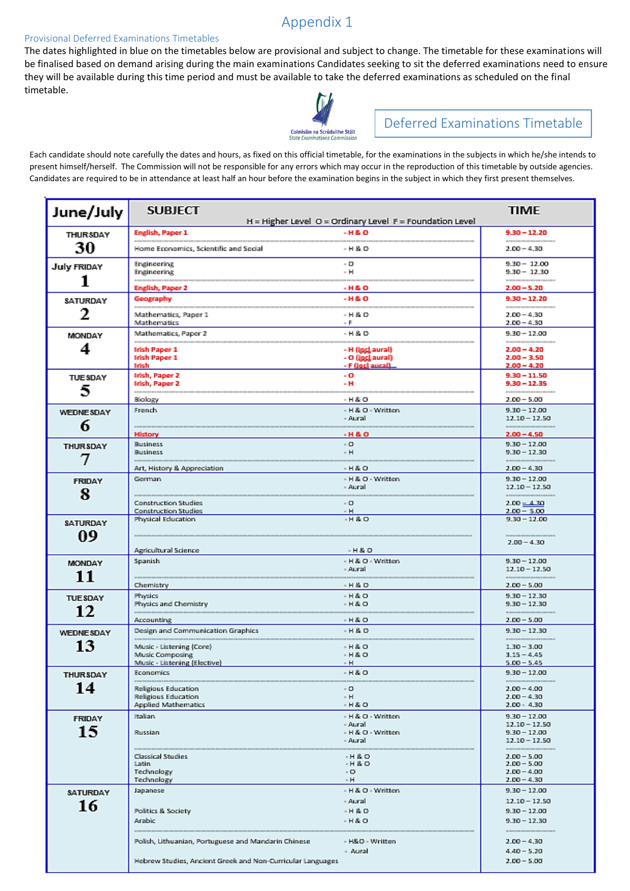# Appendix 1

#### Provisional Deferred Examinations Timetables

The dates highlighted in blue on the timetables below are provisional and subject to change. The timetable for these examinations will be finalised based on demand arising during the main examinations Candidates seeking to sit the deferred examinations need to ensure they will be available during this time period and must be available to take the deferred examinations as scheduled on the final timetable.



# Deferred Examinations Timetable

Each candidate should note carefully the dates and hours, as fixed on this official timetable, for the examinations in the subjects in which he/she intends to present himself/herself. The Commission will not be responsible for any errors which may occur in the reproduction of this timetable by outside agencies. Candidates are required to be in attendance at least half an hour before the examination begins in the subject in which they first present themselves.

| June/July              | <b>SUBJECT</b>                                                                                                    | H = Higher Level O = Ordinary Level F = Foundation Level | <b>TIME</b>                                                                                                                                                |
|------------------------|-------------------------------------------------------------------------------------------------------------------|----------------------------------------------------------|------------------------------------------------------------------------------------------------------------------------------------------------------------|
| <b>THURSDAY</b>        | English, Paper 1                                                                                                  | <b>H&amp;O</b>                                           | $9.30 - 12.20$                                                                                                                                             |
| 30                     | Home Economics, Scientific and Social                                                                             | - H & O                                                  | <b><i><b><i><u>A BOSTON DIRESTORE DE LA SURFICIA DE LA SURFICIA DE LA SURFICIA DE LA SURFICIA DE LA SURFICIA DE LA SU</u></i></b></i></b><br>$2.00 - 4.30$ |
| <b>July FRIDAY</b>     | <b>Engineering</b><br><b>Engineering</b>                                                                          | - 0<br>- H                                               | $9.30 - 12.00$<br>$9.30 - 12.30$                                                                                                                           |
| 1                      | English, Paper 2                                                                                                  | -H&O                                                     | $2.00 - 5.20$                                                                                                                                              |
| SATURDAY               | Geography                                                                                                         | -H&O                                                     | $9.30 - 12.20$                                                                                                                                             |
| 2                      | Mathematics, Paper 1<br>Mathematics                                                                               | $-H & O$<br>- F.                                         | $2.00 - 4.30$<br>$2.00 - 4.30$                                                                                                                             |
| MONDAY                 | Mathematics, Paper 2                                                                                              | $-H & O$                                                 | $9.30 - 12.00$                                                                                                                                             |
| 4                      | Irish Paper 1<br><b>Irish Paper 1</b><br>Irish                                                                    | - H (incl.aural)<br>- O (inclaural)<br>- F (incl aural)  | <b><i><b><i><u>R. BOX 10 DOM BOX 100 DOM BOX 100 DOM BOX 100</u></i></b></i></b><br>$2.00 - 4.20$<br>$2.00 - 3.50$<br>$2.00 - 4.20$                        |
| <b>TUESDAY</b><br>5    | Irish, Paper 2<br>Irish, Paper 2                                                                                  | - 0<br>- н                                               | $9.30 - 11.50$<br>$9.30 - 12.35$                                                                                                                           |
|                        | Biology                                                                                                           | - H & O                                                  | $2.00 - 5.00$                                                                                                                                              |
| <b>WEDNESDAY</b>       | French                                                                                                            | - H & O - Written<br>- Aural                             | $9.30 - 12.00$<br>$12.10 - 12.50$                                                                                                                          |
| 6                      | <b>History</b>                                                                                                    | $-H & O$                                                 | <b><i><u>BREEZER EESTER EESTER</u></i></b><br>$2.00 - 4.50$                                                                                                |
| <b>THURSDAY</b><br>7   | <b>Business</b><br><b>Business</b>                                                                                | - 0<br>$- H$                                             | $9.30 - 12.00$<br>$9.30 - 12.30$<br>--------------                                                                                                         |
|                        | Art, History & Appreciation                                                                                       | $-H & O$                                                 | $2.00 - 4.30$                                                                                                                                              |
| <b>FRIDAY</b><br>8     | German                                                                                                            | - H & O - Written<br>- Aural                             | $9.30 - 12.00$<br>$12.10 - 12.50$                                                                                                                          |
|                        | <b>Construction Studies</b><br><b>Construction Studies</b>                                                        | $-0$<br>- H                                              | $2.00 - 4.30$<br>$2.00 - 5.00$                                                                                                                             |
| <b>SATURDAY</b><br>09  | Physical Education                                                                                                | $-H & O$                                                 | $9.30 - 12.00$<br>$2.00 - 4.30$                                                                                                                            |
|                        | Agricultural Science                                                                                              | $-H & O$                                                 |                                                                                                                                                            |
| <b>MONDAY</b><br>11    | <b>Spanish</b>                                                                                                    | - H & O - Written<br>- Aural                             | $9.30 - 12.00$<br>$12.10 - 12.50$                                                                                                                          |
|                        | Chemistry                                                                                                         | $-H & O$                                                 | $2.00 - 5.00$                                                                                                                                              |
| <b>TUESDAY</b><br>12   | Physics<br>Physics and Chemistry                                                                                  | $-H & O$<br>$-H & O$                                     | $9.30 - 12.30$<br>$9.30 - 12.30$                                                                                                                           |
|                        | Accounting                                                                                                        | $-H & O$                                                 | $2.00 - 5.00$                                                                                                                                              |
| <b>WEDNESDAY</b><br>13 | Design and Communication Graphics<br>Music - Listening (Core)                                                     | $-H & O$<br>$-H & O$                                     | $9.30 - 12.30$<br><b><i><u>BREEZERESSERESSER</u></i></b><br>$1.30 - 3.00$                                                                                  |
|                        | Music Composing                                                                                                   | $-H & O$<br>- H                                          | $3.15 - 4.45$                                                                                                                                              |
| THURSDAY               | Music - Listening (Elective)<br>Economics <b>Company</b>                                                          | $-H & O$                                                 | $5.00 - 5.45$<br>$9.30 - 12.00$                                                                                                                            |
| 14                     | Religious Education<br>Religious Education<br><b>Applied Mathematics</b>                                          | - 0<br>- H<br>$-H & O$                                   | $2.00 - 4.00$<br>$2.00 - 4.30$<br>$2.00 - 4.30$                                                                                                            |
| <b>FRIDAY</b>          | Italian                                                                                                           | - H & O - Written<br>- Aural                             | $9.30 - 12.00$                                                                                                                                             |
| 15                     | Russian                                                                                                           | - H & O - Written<br>- Aural                             | $12.10 - 12.50$<br>$9.30 - 12.00$<br>$12.10 - 12.50$                                                                                                       |
|                        | <b>Classical Studies</b><br>Latin<br>Technology<br>Technology                                                     | $-H & O$<br>$-H & O$<br>$-$ O<br>$-H$                    | $2.00 - 5.00$<br>$2.00 - 5.00$<br>$2.00 - 4.00$<br>$2.00 - 4.30$                                                                                           |
| SATURDAY               | Japanese                                                                                                          | - H & O - Written                                        | $9.30 - 12.00$                                                                                                                                             |
| 16                     |                                                                                                                   | - Aural                                                  | $12.10 - 12.50$                                                                                                                                            |
|                        | Politics & Society<br><b>Arabic</b>                                                                               | $-H & O$<br>$-H & O$                                     | $9.30 - 12.00$<br>$9.30 - 12.30$                                                                                                                           |
|                        | Polish, Lithuanian, Portuguese and Mandarin Chinese<br>Hebrew Studies, Ancient Greek and Non-Curricular Languages | - H&O - Written<br>- Aural                               | $2.00 - 4.30$<br>$4.40 - 5.20$<br>$2.00 - 5.00$                                                                                                            |
|                        |                                                                                                                   |                                                          |                                                                                                                                                            |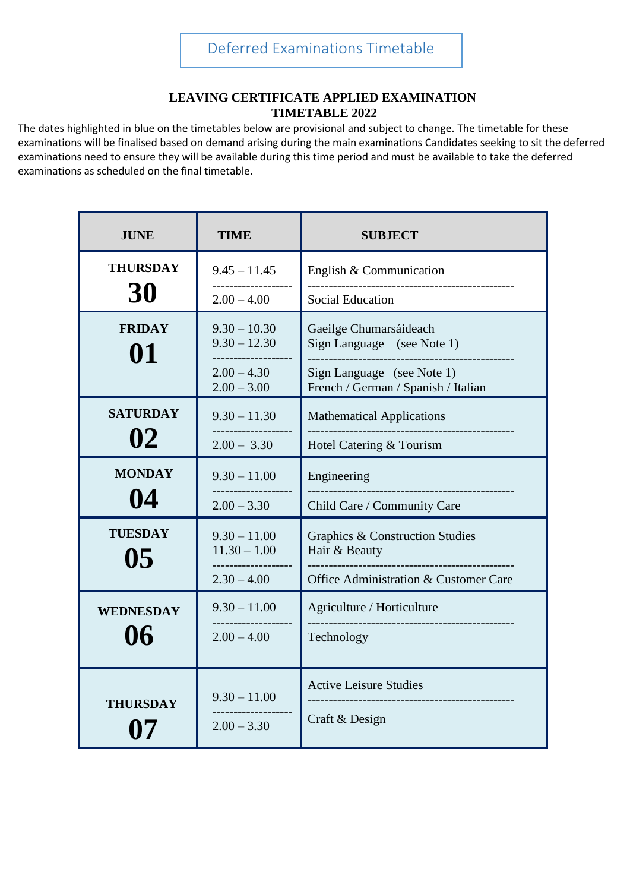## **LEAVING CERTIFICATE APPLIED EXAMINATION TIMETABLE 2022**

The dates highlighted in blue on the timetables below are provisional and subject to change. The timetable for these examinations will be finalised based on demand arising during the main examinations Candidates seeking to sit the deferred examinations need to ensure they will be available during this time period and must be available to take the deferred examinations as scheduled on the final timetable.

| <b>JUNE</b>                       | <b>TIME</b>                                            | <b>SUBJECT</b>                                                    |  |
|-----------------------------------|--------------------------------------------------------|-------------------------------------------------------------------|--|
| <b>THURSDAY</b>                   | $9.45 - 11.45$                                         | English & Communication                                           |  |
| 30                                | $2.00 - 4.00$                                          | <b>Social Education</b>                                           |  |
| <b>FRIDAY</b><br>01               | $9.30 - 10.30$<br>$9.30 - 12.30$<br>------------------ | Gaeilge Chumarsáideach<br>Sign Language (see Note 1)              |  |
|                                   | $2.00 - 4.30$<br>$2.00 - 3.00$                         | Sign Language (see Note 1)<br>French / German / Spanish / Italian |  |
| <b>SATURDAY</b><br>$9.30 - 11.30$ |                                                        | <b>Mathematical Applications</b>                                  |  |
| 02                                | $2.00 - 3.30$                                          | Hotel Catering & Tourism                                          |  |
| <b>MONDAY</b>                     | $9.30 - 11.00$                                         | Engineering<br>. _ _ _ _ _ _ _ _ _ _ _ _ _ _ _ _ _                |  |
| 04                                | $2.00 - 3.30$                                          | Child Care / Community Care                                       |  |
| <b>TUESDAY</b><br>05              | $9.30 - 11.00$<br>$11.30 - 1.00$                       | <b>Graphics &amp; Construction Studies</b><br>Hair & Beauty       |  |
|                                   | $2.30 - 4.00$                                          | Office Administration & Customer Care                             |  |
| <b>WEDNESDAY</b>                  | $9.30 - 11.00$                                         | Agriculture / Horticulture                                        |  |
| 06                                | $2.00 - 4.00$                                          | Technology                                                        |  |
|                                   | $9.30 - 11.00$                                         | <b>Active Leisure Studies</b>                                     |  |
| <b>THURSDAY</b>                   | $2.00 - 3.30$                                          | -----------------------<br>Craft & Design                         |  |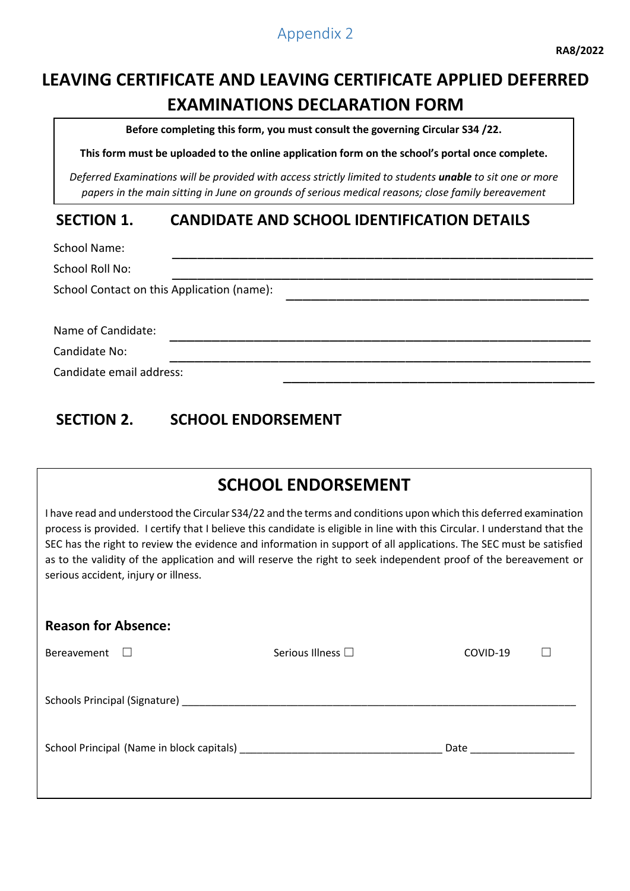# Appendix 2

# **LEAVING CERTIFICATE AND LEAVING CERTIFICATE APPLIED DEFERRED EXAMINATIONS DECLARATION FORM**

**Before completing this form, you must consult the governing Circular S34 /22.** 

**This form must be uploaded to the online application form on the school's portal once complete.**

*Deferred Examinations will be provided with access strictly limited to students unable to sit one or more papers in the main sitting in June on grounds of serious medical reasons; close family bereavement*

# **SECTION 1. CANDIDATE AND SCHOOL IDENTIFICATION DETAILS**

School Name: \_\_\_\_\_\_\_\_\_\_\_\_\_\_\_\_\_\_\_\_\_\_\_\_\_\_\_\_\_\_\_\_\_\_\_\_\_\_\_\_\_\_\_\_\_\_\_\_\_\_

School Roll No: \_\_\_\_\_\_\_\_\_\_\_\_\_\_\_\_\_\_\_\_\_\_\_\_\_\_\_\_\_\_\_\_\_\_\_\_\_\_\_\_\_\_\_\_\_\_\_\_\_\_ School Contact on this Application (name):

Name of Candidate:

Candidate No: \_\_\_\_\_\_\_\_\_\_\_\_\_\_\_\_\_\_\_\_\_\_\_\_\_\_\_\_\_\_\_\_\_\_\_\_\_\_\_\_\_\_\_\_\_\_\_\_\_\_

Candidate email address:

# **SECTION 2. SCHOOL ENDORSEMENT**

# **SCHOOL ENDORSEMENT**

I have read and understood the Circular S34/22 and the terms and conditions upon which this deferred examination process is provided. I certify that I believe this candidate is eligible in line with this Circular. I understand that the SEC has the right to review the evidence and information in support of all applications. The SEC must be satisfied as to the validity of the application and will reserve the right to seek independent proof of the bereavement or serious accident, injury or illness.

| <b>Reason for Absence:</b>                                                                                                                                                                                                     |                        |          |  |  |  |  |
|--------------------------------------------------------------------------------------------------------------------------------------------------------------------------------------------------------------------------------|------------------------|----------|--|--|--|--|
| Bereavement<br>$\Box$                                                                                                                                                                                                          | Serious Illness $\Box$ | COVID-19 |  |  |  |  |
| Schools Principal (Signature) and the contract of the contract of the contract of the contract of the contract of the contract of the contract of the contract of the contract of the contract of the contract of the contract |                        |          |  |  |  |  |
|                                                                                                                                                                                                                                |                        |          |  |  |  |  |
|                                                                                                                                                                                                                                |                        |          |  |  |  |  |